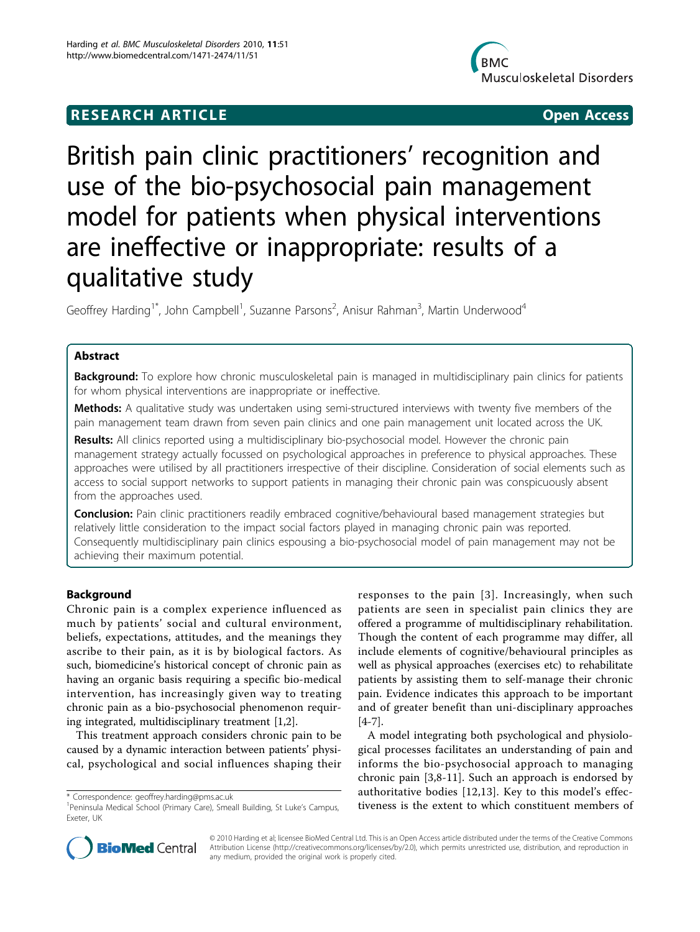## **RESEARCH ARTICLE Example 2018 CONSIDERING ACCESS**



# British pain clinic practitioners' recognition and use of the bio-psychosocial pain management model for patients when physical interventions are ineffective or inappropriate: results of a qualitative study

Geoffrey Harding<sup>1\*</sup>, John Campbell<sup>1</sup>, Suzanne Parsons<sup>2</sup>, Anisur Rahman<sup>3</sup>, Martin Underwood<sup>4</sup>

## Abstract

Background: To explore how chronic musculoskeletal pain is managed in multidisciplinary pain clinics for patients for whom physical interventions are inappropriate or ineffective.

Methods: A qualitative study was undertaken using semi-structured interviews with twenty five members of the pain management team drawn from seven pain clinics and one pain management unit located across the UK.

Results: All clinics reported using a multidisciplinary bio-psychosocial model. However the chronic pain management strategy actually focussed on psychological approaches in preference to physical approaches. These approaches were utilised by all practitioners irrespective of their discipline. Consideration of social elements such as access to social support networks to support patients in managing their chronic pain was conspicuously absent from the approaches used.

Conclusion: Pain clinic practitioners readily embraced cognitive/behavioural based management strategies but relatively little consideration to the impact social factors played in managing chronic pain was reported. Consequently multidisciplinary pain clinics espousing a bio-psychosocial model of pain management may not be achieving their maximum potential.

## Background

Chronic pain is a complex experience influenced as much by patients' social and cultural environment, beliefs, expectations, attitudes, and the meanings they ascribe to their pain, as it is by biological factors. As such, biomedicine's historical concept of chronic pain as having an organic basis requiring a specific bio-medical intervention, has increasingly given way to treating chronic pain as a bio-psychosocial phenomenon requiring integrated, multidisciplinary treatment [\[1,2](#page-8-0)].

This treatment approach considers chronic pain to be caused by a dynamic interaction between patients' physical, psychological and social influences shaping their

responses to the pain [[3](#page-8-0)]. Increasingly, when such patients are seen in specialist pain clinics they are offered a programme of multidisciplinary rehabilitation. Though the content of each programme may differ, all include elements of cognitive/behavioural principles as well as physical approaches (exercises etc) to rehabilitate patients by assisting them to self-manage their chronic pain. Evidence indicates this approach to be important and of greater benefit than uni-disciplinary approaches [[4-7](#page-8-0)].

A model integrating both psychological and physiological processes facilitates an understanding of pain and informs the bio-psychosocial approach to managing chronic pain [\[3,8](#page-8-0)-[11\]](#page-8-0). Such an approach is endorsed by authoritative bodies [[12,13](#page-8-0)]. Key to this model's effective boutes [12,15]. Ney to this moder's enec-<br>I peninsula Medical School (Primary Care), Smeall Building, St Luke's Campus, **tiveness is the extent to which constituent members of** 



© 2010 Harding et al; licensee BioMed Central Ltd. This is an Open Access article distributed under the terms of the Creative Commons Attribution License [\(http://creativecommons.org/licenses/by/2.0](http://creativecommons.org/licenses/by/2.0)), which permits unrestricted use, distribution, and reproduction in any medium, provided the original work is properly cited.

<sup>&</sup>lt;sup>1</sup> Peninsula Medical School (Primary Care), Smeall Building, St Luke's Campus, Exeter, UK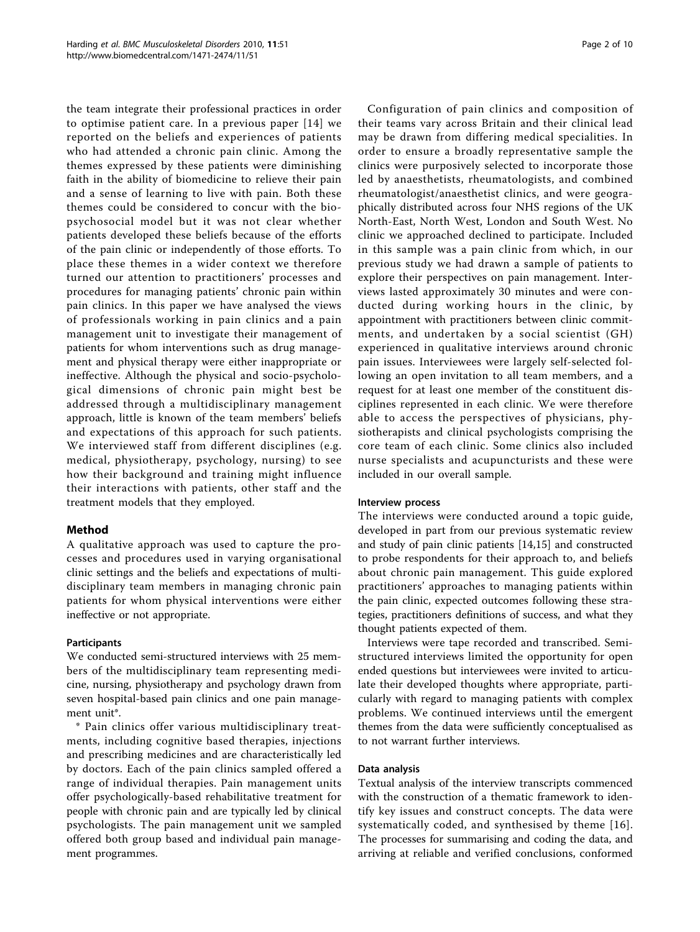the team integrate their professional practices in order to optimise patient care. In a previous paper [[14\]](#page-8-0) we reported on the beliefs and experiences of patients who had attended a chronic pain clinic. Among the themes expressed by these patients were diminishing faith in the ability of biomedicine to relieve their pain and a sense of learning to live with pain. Both these themes could be considered to concur with the biopsychosocial model but it was not clear whether patients developed these beliefs because of the efforts of the pain clinic or independently of those efforts. To place these themes in a wider context we therefore turned our attention to practitioners' processes and procedures for managing patients' chronic pain within pain clinics. In this paper we have analysed the views of professionals working in pain clinics and a pain management unit to investigate their management of patients for whom interventions such as drug management and physical therapy were either inappropriate or ineffective. Although the physical and socio-psychological dimensions of chronic pain might best be addressed through a multidisciplinary management approach, little is known of the team members' beliefs and expectations of this approach for such patients. We interviewed staff from different disciplines (e.g. medical, physiotherapy, psychology, nursing) to see how their background and training might influence their interactions with patients, other staff and the treatment models that they employed.

## Method

A qualitative approach was used to capture the processes and procedures used in varying organisational clinic settings and the beliefs and expectations of multidisciplinary team members in managing chronic pain patients for whom physical interventions were either ineffective or not appropriate.

## Participants

We conducted semi-structured interviews with 25 members of the multidisciplinary team representing medicine, nursing, physiotherapy and psychology drawn from seven hospital-based pain clinics and one pain management unit\*.

\* Pain clinics offer various multidisciplinary treatments, including cognitive based therapies, injections and prescribing medicines and are characteristically led by doctors. Each of the pain clinics sampled offered a range of individual therapies. Pain management units offer psychologically-based rehabilitative treatment for people with chronic pain and are typically led by clinical psychologists. The pain management unit we sampled offered both group based and individual pain management programmes.

Configuration of pain clinics and composition of their teams vary across Britain and their clinical lead may be drawn from differing medical specialities. In order to ensure a broadly representative sample the clinics were purposively selected to incorporate those led by anaesthetists, rheumatologists, and combined rheumatologist/anaesthetist clinics, and were geographically distributed across four NHS regions of the UK North-East, North West, London and South West. No clinic we approached declined to participate. Included in this sample was a pain clinic from which, in our previous study we had drawn a sample of patients to explore their perspectives on pain management. Interviews lasted approximately 30 minutes and were conducted during working hours in the clinic, by appointment with practitioners between clinic commitments, and undertaken by a social scientist (GH) experienced in qualitative interviews around chronic pain issues. Interviewees were largely self-selected following an open invitation to all team members, and a request for at least one member of the constituent disciplines represented in each clinic. We were therefore able to access the perspectives of physicians, physiotherapists and clinical psychologists comprising the core team of each clinic. Some clinics also included nurse specialists and acupuncturists and these were included in our overall sample.

## Interview process

The interviews were conducted around a topic guide, developed in part from our previous systematic review and study of pain clinic patients [\[14,15\]](#page-8-0) and constructed to probe respondents for their approach to, and beliefs about chronic pain management. This guide explored practitioners' approaches to managing patients within the pain clinic, expected outcomes following these strategies, practitioners definitions of success, and what they thought patients expected of them.

Interviews were tape recorded and transcribed. Semistructured interviews limited the opportunity for open ended questions but interviewees were invited to articulate their developed thoughts where appropriate, particularly with regard to managing patients with complex problems. We continued interviews until the emergent themes from the data were sufficiently conceptualised as to not warrant further interviews.

## Data analysis

Textual analysis of the interview transcripts commenced with the construction of a thematic framework to identify key issues and construct concepts. The data were systematically coded, and synthesised by theme [\[16\]](#page-8-0). The processes for summarising and coding the data, and arriving at reliable and verified conclusions, conformed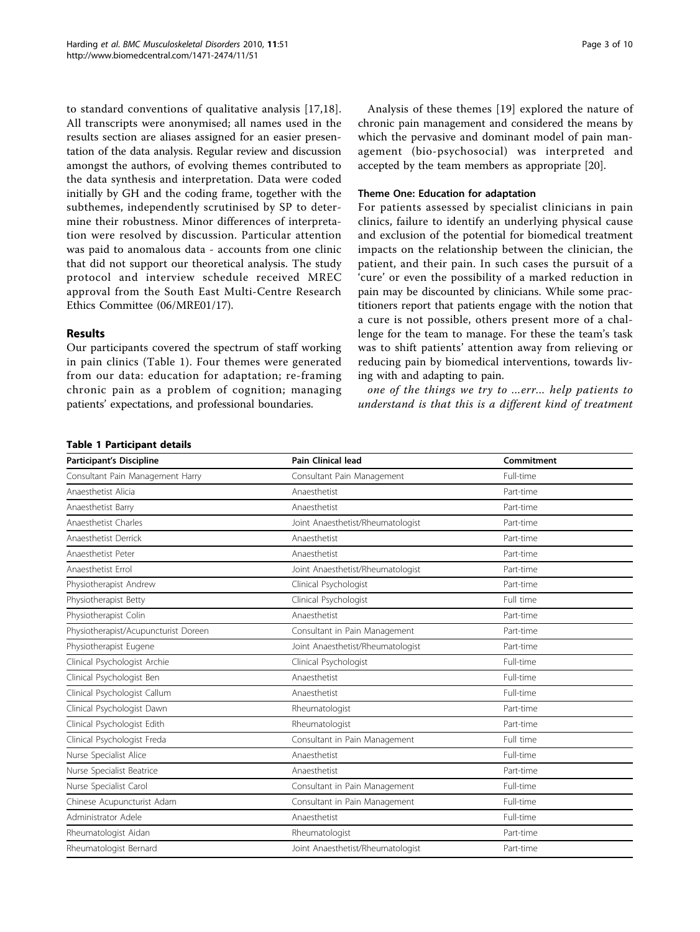to standard conventions of qualitative analysis [\[17,18](#page-8-0)]. All transcripts were anonymised; all names used in the results section are aliases assigned for an easier presentation of the data analysis. Regular review and discussion amongst the authors, of evolving themes contributed to the data synthesis and interpretation. Data were coded initially by GH and the coding frame, together with the subthemes, independently scrutinised by SP to determine their robustness. Minor differences of interpretation were resolved by discussion. Particular attention was paid to anomalous data - accounts from one clinic that did not support our theoretical analysis. The study protocol and interview schedule received MREC approval from the South East Multi-Centre Research Ethics Committee (06/MRE01/17).

#### Results

Our participants covered the spectrum of staff working in pain clinics (Table 1). Four themes were generated from our data: education for adaptation; re-framing chronic pain as a problem of cognition; managing patients' expectations, and professional boundaries.

Analysis of these themes [[19\]](#page-8-0) explored the nature of chronic pain management and considered the means by which the pervasive and dominant model of pain management (bio-psychosocial) was interpreted and accepted by the team members as appropriate [[20\]](#page-8-0).

#### Theme One: Education for adaptation

For patients assessed by specialist clinicians in pain clinics, failure to identify an underlying physical cause and exclusion of the potential for biomedical treatment impacts on the relationship between the clinician, the patient, and their pain. In such cases the pursuit of a 'cure' or even the possibility of a marked reduction in pain may be discounted by clinicians. While some practitioners report that patients engage with the notion that a cure is not possible, others present more of a challenge for the team to manage. For these the team's task was to shift patients' attention away from relieving or reducing pain by biomedical interventions, towards living with and adapting to pain.

one of the things we try to ...err... help patients to understand is that this is a different kind of treatment

#### Table 1 Participant details

| <b>Participant's Discipline</b>      | Pain Clinical lead                | Commitment |
|--------------------------------------|-----------------------------------|------------|
| Consultant Pain Management Harry     | Consultant Pain Management        | Full-time  |
| Anaesthetist Alicia                  | Anaesthetist                      | Part-time  |
| Anaesthetist Barry                   | Anaesthetist                      | Part-time  |
| Anaesthetist Charles                 | Joint Anaesthetist/Rheumatologist | Part-time  |
| Anaesthetist Derrick                 | Anaesthetist                      | Part-time  |
| Anaesthetist Peter                   | Anaesthetist                      | Part-time  |
| Anaesthetist Errol                   | Joint Anaesthetist/Rheumatologist | Part-time  |
| Physiotherapist Andrew               | Clinical Psychologist             | Part-time  |
| Physiotherapist Betty                | Clinical Psychologist             | Full time  |
| Physiotherapist Colin                | Anaesthetist                      | Part-time  |
| Physiotherapist/Acupuncturist Doreen | Consultant in Pain Management     | Part-time  |
| Physiotherapist Eugene               | Joint Anaesthetist/Rheumatologist | Part-time  |
| Clinical Psychologist Archie         | Clinical Psychologist             | Full-time  |
| Clinical Psychologist Ben            | Anaesthetist                      | Full-time  |
| Clinical Psychologist Callum         | Anaesthetist                      | Full-time  |
| Clinical Psychologist Dawn           | Rheumatologist                    | Part-time  |
| Clinical Psychologist Edith          | Rheumatologist                    | Part-time  |
| Clinical Psychologist Freda          | Consultant in Pain Management     | Full time  |
| Nurse Specialist Alice               | Anaesthetist                      | Full-time  |
| Nurse Specialist Beatrice            | Anaesthetist                      | Part-time  |
| Nurse Specialist Carol               | Consultant in Pain Management     | Full-time  |
| Chinese Acupuncturist Adam           | Consultant in Pain Management     | Full-time  |
| Administrator Adele                  | Anaesthetist                      | Full-time  |
| Rheumatologist Aidan                 | Rheumatologist                    | Part-time  |
| Rheumatologist Bernard               | Joint Anaesthetist/Rheumatologist | Part-time  |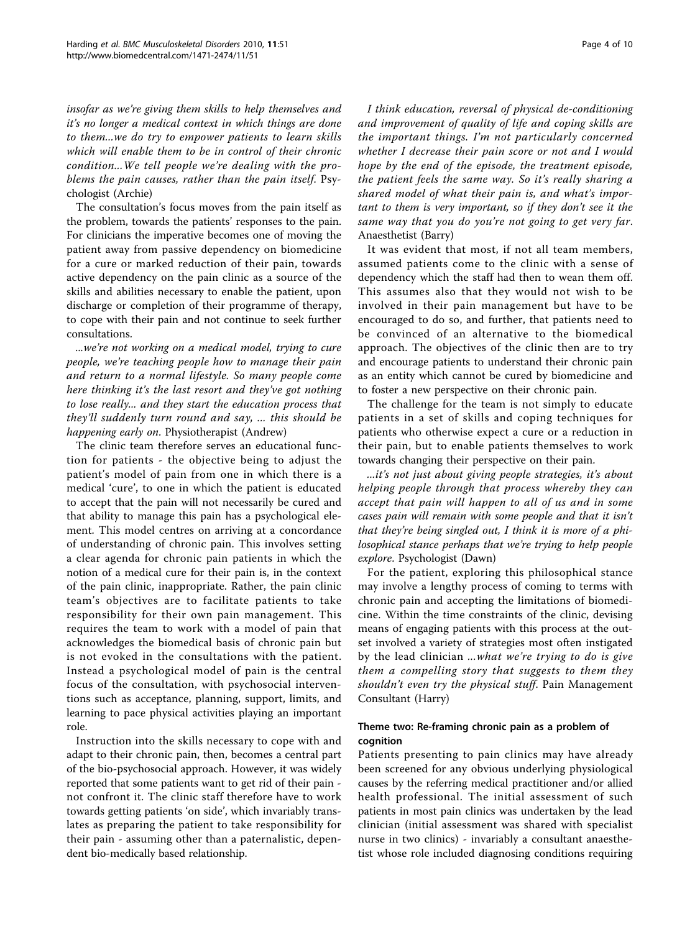insofar as we're giving them skills to help themselves and it's no longer a medical context in which things are done to them...we do try to empower patients to learn skills which will enable them to be in control of their chronic condition...We tell people we're dealing with the problems the pain causes, rather than the pain itself. Psychologist (Archie)

The consultation's focus moves from the pain itself as the problem, towards the patients' responses to the pain. For clinicians the imperative becomes one of moving the patient away from passive dependency on biomedicine for a cure or marked reduction of their pain, towards active dependency on the pain clinic as a source of the skills and abilities necessary to enable the patient, upon discharge or completion of their programme of therapy, to cope with their pain and not continue to seek further consultations.

...we're not working on a medical model, trying to cure people, we're teaching people how to manage their pain and return to a normal lifestyle. So many people come here thinking it's the last resort and they've got nothing to lose really... and they start the education process that they'll suddenly turn round and say, ... this should be happening early on. Physiotherapist (Andrew)

The clinic team therefore serves an educational function for patients - the objective being to adjust the patient's model of pain from one in which there is a medical 'cure', to one in which the patient is educated to accept that the pain will not necessarily be cured and that ability to manage this pain has a psychological element. This model centres on arriving at a concordance of understanding of chronic pain. This involves setting a clear agenda for chronic pain patients in which the notion of a medical cure for their pain is, in the context of the pain clinic, inappropriate. Rather, the pain clinic team's objectives are to facilitate patients to take responsibility for their own pain management. This requires the team to work with a model of pain that acknowledges the biomedical basis of chronic pain but is not evoked in the consultations with the patient. Instead a psychological model of pain is the central focus of the consultation, with psychosocial interventions such as acceptance, planning, support, limits, and learning to pace physical activities playing an important role.

Instruction into the skills necessary to cope with and adapt to their chronic pain, then, becomes a central part of the bio-psychosocial approach. However, it was widely reported that some patients want to get rid of their pain not confront it. The clinic staff therefore have to work towards getting patients 'on side', which invariably translates as preparing the patient to take responsibility for their pain - assuming other than a paternalistic, dependent bio-medically based relationship.

I think education, reversal of physical de-conditioning and improvement of quality of life and coping skills are the important things. I'm not particularly concerned whether I decrease their pain score or not and I would hope by the end of the episode, the treatment episode, the patient feels the same way. So it's really sharing a shared model of what their pain is, and what's important to them is very important, so if they don't see it the same way that you do you're not going to get very far. Anaesthetist (Barry)

It was evident that most, if not all team members, assumed patients come to the clinic with a sense of dependency which the staff had then to wean them off. This assumes also that they would not wish to be involved in their pain management but have to be encouraged to do so, and further, that patients need to be convinced of an alternative to the biomedical approach. The objectives of the clinic then are to try and encourage patients to understand their chronic pain as an entity which cannot be cured by biomedicine and to foster a new perspective on their chronic pain.

The challenge for the team is not simply to educate patients in a set of skills and coping techniques for patients who otherwise expect a cure or a reduction in their pain, but to enable patients themselves to work towards changing their perspective on their pain.

...it's not just about giving people strategies, it's about helping people through that process whereby they can accept that pain will happen to all of us and in some cases pain will remain with some people and that it isn't that they're being singled out, I think it is more of a philosophical stance perhaps that we're trying to help people explore. Psychologist (Dawn)

For the patient, exploring this philosophical stance may involve a lengthy process of coming to terms with chronic pain and accepting the limitations of biomedicine. Within the time constraints of the clinic, devising means of engaging patients with this process at the outset involved a variety of strategies most often instigated by the lead clinician ...what we're trying to do is give them a compelling story that suggests to them they shouldn't even try the physical stuff. Pain Management Consultant (Harry)

## Theme two: Re-framing chronic pain as a problem of cognition

Patients presenting to pain clinics may have already been screened for any obvious underlying physiological causes by the referring medical practitioner and/or allied health professional. The initial assessment of such patients in most pain clinics was undertaken by the lead clinician (initial assessment was shared with specialist nurse in two clinics) - invariably a consultant anaesthetist whose role included diagnosing conditions requiring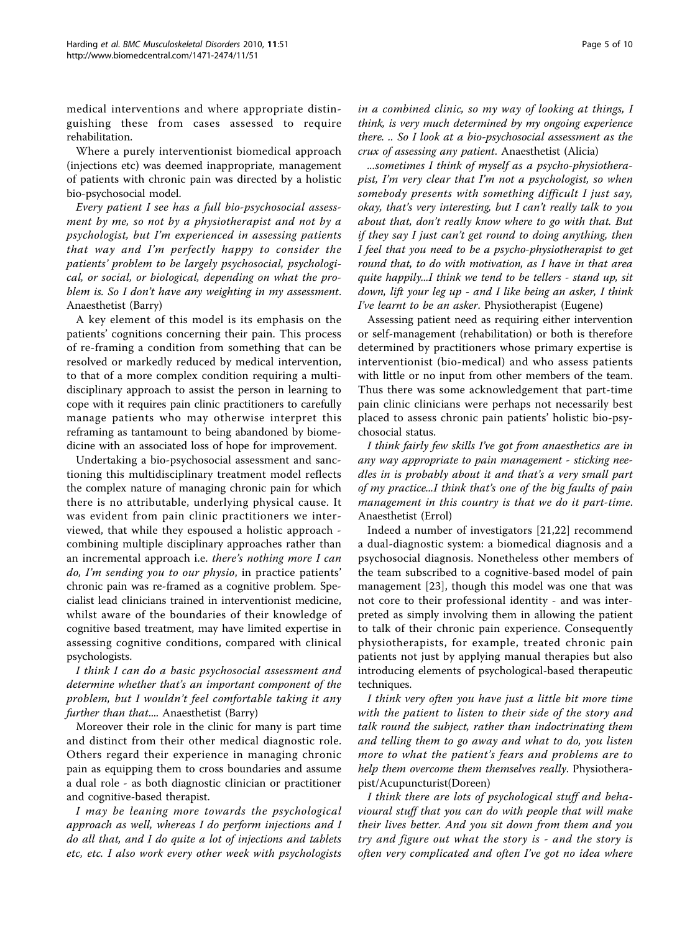medical interventions and where appropriate distinguishing these from cases assessed to require rehabilitation.

Where a purely interventionist biomedical approach (injections etc) was deemed inappropriate, management of patients with chronic pain was directed by a holistic bio-psychosocial model.

Every patient I see has a full bio-psychosocial assessment by me, so not by a physiotherapist and not by a psychologist, but I'm experienced in assessing patients that way and I'm perfectly happy to consider the patients' problem to be largely psychosocial, psychological, or social, or biological, depending on what the problem is. So I don't have any weighting in my assessment. Anaesthetist (Barry)

A key element of this model is its emphasis on the patients' cognitions concerning their pain. This process of re-framing a condition from something that can be resolved or markedly reduced by medical intervention, to that of a more complex condition requiring a multidisciplinary approach to assist the person in learning to cope with it requires pain clinic practitioners to carefully manage patients who may otherwise interpret this reframing as tantamount to being abandoned by biomedicine with an associated loss of hope for improvement.

Undertaking a bio-psychosocial assessment and sanctioning this multidisciplinary treatment model reflects the complex nature of managing chronic pain for which there is no attributable, underlying physical cause. It was evident from pain clinic practitioners we interviewed, that while they espoused a holistic approach combining multiple disciplinary approaches rather than an incremental approach i.e. there's nothing more I can do, I'm sending you to our physio, in practice patients' chronic pain was re-framed as a cognitive problem. Specialist lead clinicians trained in interventionist medicine, whilst aware of the boundaries of their knowledge of cognitive based treatment, may have limited expertise in assessing cognitive conditions, compared with clinical psychologists.

I think I can do a basic psychosocial assessment and determine whether that's an important component of the problem, but I wouldn't feel comfortable taking it any further than that.... Anaesthetist (Barry)

Moreover their role in the clinic for many is part time and distinct from their other medical diagnostic role. Others regard their experience in managing chronic pain as equipping them to cross boundaries and assume a dual role - as both diagnostic clinician or practitioner and cognitive-based therapist.

I may be leaning more towards the psychological approach as well, whereas I do perform injections and I do all that, and I do quite a lot of injections and tablets etc, etc. I also work every other week with psychologists in a combined clinic, so my way of looking at things, I think, is very much determined by my ongoing experience there. .. So I look at a bio-psychosocial assessment as the crux of assessing any patient. Anaesthetist (Alicia)

...sometimes I think of myself as a psycho-physiotherapist, I'm very clear that I'm not a psychologist, so when somebody presents with something difficult I just say, okay, that's very interesting, but I can't really talk to you about that, don't really know where to go with that. But if they say I just can't get round to doing anything, then I feel that you need to be a psycho-physiotherapist to get round that, to do with motivation, as I have in that area quite happily...I think we tend to be tellers - stand up, sit down, lift your leg up - and I like being an asker, I think I've learnt to be an asker. Physiotherapist (Eugene)

Assessing patient need as requiring either intervention or self-management (rehabilitation) or both is therefore determined by practitioners whose primary expertise is interventionist (bio-medical) and who assess patients with little or no input from other members of the team. Thus there was some acknowledgement that part-time pain clinic clinicians were perhaps not necessarily best placed to assess chronic pain patients' holistic bio-psychosocial status.

I think fairly few skills I've got from anaesthetics are in any way appropriate to pain management - sticking needles in is probably about it and that's a very small part of my practice...I think that's one of the big faults of pain management in this country is that we do it part-time. Anaesthetist (Errol)

Indeed a number of investigators [[21,22](#page-8-0)] recommend a dual-diagnostic system: a biomedical diagnosis and a psychosocial diagnosis. Nonetheless other members of the team subscribed to a cognitive-based model of pain management [\[23](#page-8-0)], though this model was one that was not core to their professional identity - and was interpreted as simply involving them in allowing the patient to talk of their chronic pain experience. Consequently physiotherapists, for example, treated chronic pain patients not just by applying manual therapies but also introducing elements of psychological-based therapeutic techniques.

I think very often you have just a little bit more time with the patient to listen to their side of the story and talk round the subject, rather than indoctrinating them and telling them to go away and what to do, you listen more to what the patient's fears and problems are to help them overcome them themselves really. Physiotherapist/Acupuncturist(Doreen)

I think there are lots of psychological stuff and behavioural stuff that you can do with people that will make their lives better. And you sit down from them and you try and figure out what the story is - and the story is often very complicated and often I've got no idea where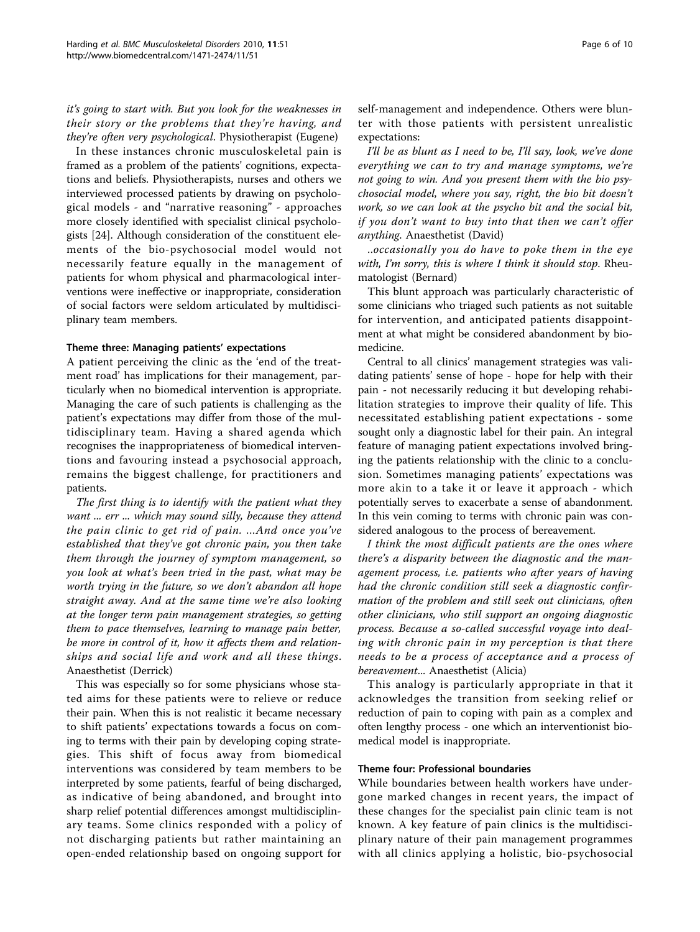it's going to start with. But you look for the weaknesses in their story or the problems that they're having, and they're often very psychological. Physiotherapist (Eugene)

In these instances chronic musculoskeletal pain is framed as a problem of the patients' cognitions, expectations and beliefs. Physiotherapists, nurses and others we interviewed processed patients by drawing on psychological models - and "narrative reasoning" - approaches more closely identified with specialist clinical psychologists [\[24\]](#page-8-0). Although consideration of the constituent elements of the bio-psychosocial model would not necessarily feature equally in the management of patients for whom physical and pharmacological interventions were ineffective or inappropriate, consideration of social factors were seldom articulated by multidisciplinary team members.

#### Theme three: Managing patients' expectations

A patient perceiving the clinic as the 'end of the treatment road' has implications for their management, particularly when no biomedical intervention is appropriate. Managing the care of such patients is challenging as the patient's expectations may differ from those of the multidisciplinary team. Having a shared agenda which recognises the inappropriateness of biomedical interventions and favouring instead a psychosocial approach, remains the biggest challenge, for practitioners and patients.

The first thing is to identify with the patient what they want ... err ... which may sound silly, because they attend the pain clinic to get rid of pain. ...And once you've established that they've got chronic pain, you then take them through the journey of symptom management, so you look at what's been tried in the past, what may be worth trying in the future, so we don't abandon all hope straight away. And at the same time we're also looking at the longer term pain management strategies, so getting them to pace themselves, learning to manage pain better, be more in control of it, how it affects them and relationships and social life and work and all these things. Anaesthetist (Derrick)

This was especially so for some physicians whose stated aims for these patients were to relieve or reduce their pain. When this is not realistic it became necessary to shift patients' expectations towards a focus on coming to terms with their pain by developing coping strategies. This shift of focus away from biomedical interventions was considered by team members to be interpreted by some patients, fearful of being discharged, as indicative of being abandoned, and brought into sharp relief potential differences amongst multidisciplinary teams. Some clinics responded with a policy of not discharging patients but rather maintaining an open-ended relationship based on ongoing support for self-management and independence. Others were blunter with those patients with persistent unrealistic expectations:

 $I'll$  be as blunt as  $I$  need to be,  $I'll$  say, look, we've done everything we can to try and manage symptoms, we're not going to win. And you present them with the bio psychosocial model, where you say, right, the bio bit doesn't work, so we can look at the psycho bit and the social bit, if you don't want to buy into that then we can't offer anything. Anaesthetist (David)

..occasionally you do have to poke them in the eye with, I'm sorry, this is where I think it should stop. Rheumatologist (Bernard)

This blunt approach was particularly characteristic of some clinicians who triaged such patients as not suitable for intervention, and anticipated patients disappointment at what might be considered abandonment by biomedicine.

Central to all clinics' management strategies was validating patients' sense of hope - hope for help with their pain - not necessarily reducing it but developing rehabilitation strategies to improve their quality of life. This necessitated establishing patient expectations - some sought only a diagnostic label for their pain. An integral feature of managing patient expectations involved bringing the patients relationship with the clinic to a conclusion. Sometimes managing patients' expectations was more akin to a take it or leave it approach - which potentially serves to exacerbate a sense of abandonment. In this vein coming to terms with chronic pain was considered analogous to the process of bereavement.

I think the most difficult patients are the ones where there's a disparity between the diagnostic and the management process, i.e. patients who after years of having had the chronic condition still seek a diagnostic confirmation of the problem and still seek out clinicians, often other clinicians, who still support an ongoing diagnostic process. Because a so-called successful voyage into dealing with chronic pain in my perception is that there needs to be a process of acceptance and a process of bereavement... Anaesthetist (Alicia)

This analogy is particularly appropriate in that it acknowledges the transition from seeking relief or reduction of pain to coping with pain as a complex and often lengthy process - one which an interventionist biomedical model is inappropriate.

#### Theme four: Professional boundaries

While boundaries between health workers have undergone marked changes in recent years, the impact of these changes for the specialist pain clinic team is not known. A key feature of pain clinics is the multidisciplinary nature of their pain management programmes with all clinics applying a holistic, bio-psychosocial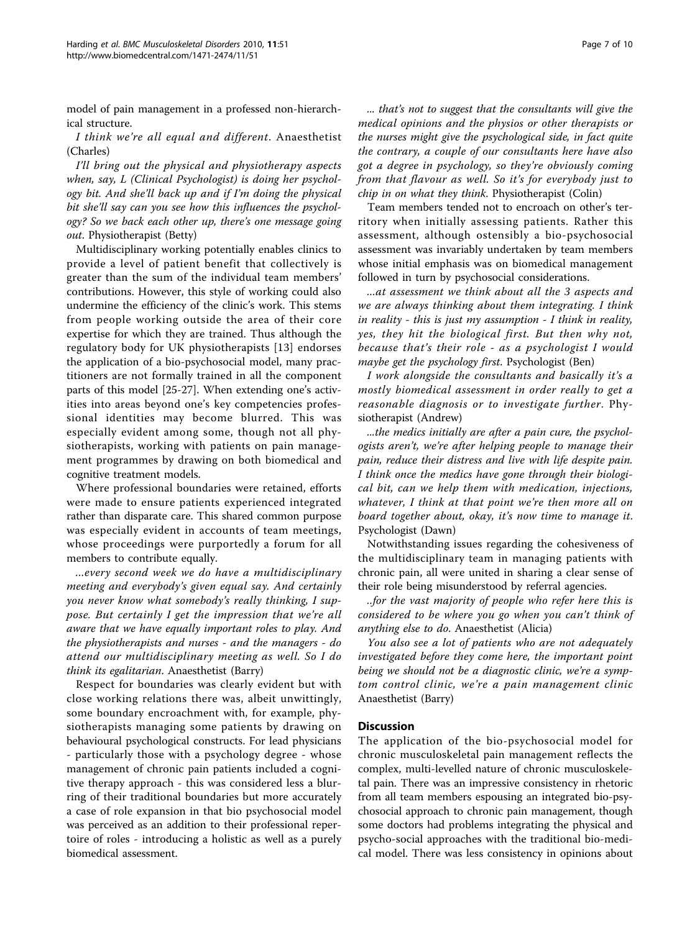model of pain management in a professed non-hierarchical structure.

I think we're all equal and different. Anaesthetist (Charles)

I'll bring out the physical and physiotherapy aspects when, say, L (Clinical Psychologist) is doing her psychology bit. And she'll back up and if I'm doing the physical bit she'll say can you see how this influences the psychology? So we back each other up, there's one message going out. Physiotherapist (Betty)

Multidisciplinary working potentially enables clinics to provide a level of patient benefit that collectively is greater than the sum of the individual team members' contributions. However, this style of working could also undermine the efficiency of the clinic's work. This stems from people working outside the area of their core expertise for which they are trained. Thus although the regulatory body for UK physiotherapists [\[13\]](#page-8-0) endorses the application of a bio-psychosocial model, many practitioners are not formally trained in all the component parts of this model [\[25-27](#page-8-0)]. When extending one's activities into areas beyond one's key competencies professional identities may become blurred. This was especially evident among some, though not all physiotherapists, working with patients on pain management programmes by drawing on both biomedical and cognitive treatment models.

Where professional boundaries were retained, efforts were made to ensure patients experienced integrated rather than disparate care. This shared common purpose was especially evident in accounts of team meetings, whose proceedings were purportedly a forum for all members to contribute equally.

...every second week we do have a multidisciplinary meeting and everybody's given equal say. And certainly you never know what somebody's really thinking, I suppose. But certainly I get the impression that we're all aware that we have equally important roles to play. And the physiotherapists and nurses - and the managers - do attend our multidisciplinary meeting as well. So I do think its egalitarian. Anaesthetist (Barry)

Respect for boundaries was clearly evident but with close working relations there was, albeit unwittingly, some boundary encroachment with, for example, physiotherapists managing some patients by drawing on behavioural psychological constructs. For lead physicians - particularly those with a psychology degree - whose management of chronic pain patients included a cognitive therapy approach - this was considered less a blurring of their traditional boundaries but more accurately a case of role expansion in that bio psychosocial model was perceived as an addition to their professional repertoire of roles - introducing a holistic as well as a purely biomedical assessment.

... that's not to suggest that the consultants will give the medical opinions and the physios or other therapists or the nurses might give the psychological side, in fact quite the contrary, a couple of our consultants here have also got a degree in psychology, so they're obviously coming from that flavour as well. So it's for everybody just to chip in on what they think. Physiotherapist (Colin)

Team members tended not to encroach on other's territory when initially assessing patients. Rather this assessment, although ostensibly a bio-psychosocial assessment was invariably undertaken by team members whose initial emphasis was on biomedical management followed in turn by psychosocial considerations.

...at assessment we think about all the 3 aspects and we are always thinking about them integrating. I think in reality - this is just my assumption - I think in reality, yes, they hit the biological first. But then why not, because that's their role - as a psychologist I would maybe get the psychology first. Psychologist (Ben)

I work alongside the consultants and basically it's a mostly biomedical assessment in order really to get a reasonable diagnosis or to investigate further. Physiotherapist (Andrew)

...the medics initially are after a pain cure, the psychologists aren't, we're after helping people to manage their pain, reduce their distress and live with life despite pain. I think once the medics have gone through their biological bit, can we help them with medication, injections, whatever, I think at that point we're then more all on board together about, okay, it's now time to manage it. Psychologist (Dawn)

Notwithstanding issues regarding the cohesiveness of the multidisciplinary team in managing patients with chronic pain, all were united in sharing a clear sense of their role being misunderstood by referral agencies.

..for the vast majority of people who refer here this is considered to be where you go when you can't think of anything else to do. Anaesthetist (Alicia)

You also see a lot of patients who are not adequately investigated before they come here, the important point being we should not be a diagnostic clinic, we're a symptom control clinic, we're a pain management clinic Anaesthetist (Barry)

## **Discussion**

The application of the bio-psychosocial model for chronic musculoskeletal pain management reflects the complex, multi-levelled nature of chronic musculoskeletal pain. There was an impressive consistency in rhetoric from all team members espousing an integrated bio-psychosocial approach to chronic pain management, though some doctors had problems integrating the physical and psycho-social approaches with the traditional bio-medical model. There was less consistency in opinions about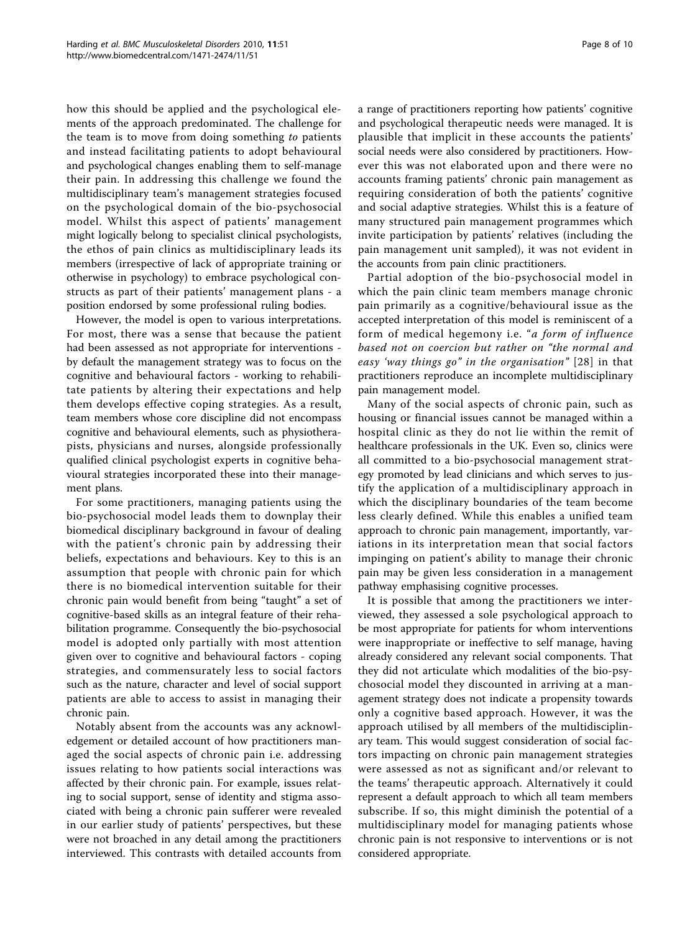how this should be applied and the psychological elements of the approach predominated. The challenge for the team is to move from doing something to patients and instead facilitating patients to adopt behavioural and psychological changes enabling them to self-manage their pain. In addressing this challenge we found the multidisciplinary team's management strategies focused on the psychological domain of the bio-psychosocial model. Whilst this aspect of patients' management might logically belong to specialist clinical psychologists, the ethos of pain clinics as multidisciplinary leads its members (irrespective of lack of appropriate training or otherwise in psychology) to embrace psychological constructs as part of their patients' management plans - a position endorsed by some professional ruling bodies.

However, the model is open to various interpretations. For most, there was a sense that because the patient had been assessed as not appropriate for interventions by default the management strategy was to focus on the cognitive and behavioural factors - working to rehabilitate patients by altering their expectations and help them develops effective coping strategies. As a result, team members whose core discipline did not encompass cognitive and behavioural elements, such as physiotherapists, physicians and nurses, alongside professionally qualified clinical psychologist experts in cognitive behavioural strategies incorporated these into their management plans.

For some practitioners, managing patients using the bio-psychosocial model leads them to downplay their biomedical disciplinary background in favour of dealing with the patient's chronic pain by addressing their beliefs, expectations and behaviours. Key to this is an assumption that people with chronic pain for which there is no biomedical intervention suitable for their chronic pain would benefit from being "taught" a set of cognitive-based skills as an integral feature of their rehabilitation programme. Consequently the bio-psychosocial model is adopted only partially with most attention given over to cognitive and behavioural factors - coping strategies, and commensurately less to social factors such as the nature, character and level of social support patients are able to access to assist in managing their chronic pain.

Notably absent from the accounts was any acknowledgement or detailed account of how practitioners managed the social aspects of chronic pain i.e. addressing issues relating to how patients social interactions was affected by their chronic pain. For example, issues relating to social support, sense of identity and stigma associated with being a chronic pain sufferer were revealed in our earlier study of patients' perspectives, but these were not broached in any detail among the practitioners interviewed. This contrasts with detailed accounts from a range of practitioners reporting how patients' cognitive and psychological therapeutic needs were managed. It is plausible that implicit in these accounts the patients' social needs were also considered by practitioners. However this was not elaborated upon and there were no accounts framing patients' chronic pain management as requiring consideration of both the patients' cognitive and social adaptive strategies. Whilst this is a feature of many structured pain management programmes which invite participation by patients' relatives (including the pain management unit sampled), it was not evident in the accounts from pain clinic practitioners.

Partial adoption of the bio-psychosocial model in which the pain clinic team members manage chronic pain primarily as a cognitive/behavioural issue as the accepted interpretation of this model is reminiscent of a form of medical hegemony i.e. "a form of influence based not on coercion but rather on "the normal and easy 'way things go" in the organisation" [[28](#page-8-0)] in that practitioners reproduce an incomplete multidisciplinary pain management model.

Many of the social aspects of chronic pain, such as housing or financial issues cannot be managed within a hospital clinic as they do not lie within the remit of healthcare professionals in the UK. Even so, clinics were all committed to a bio-psychosocial management strategy promoted by lead clinicians and which serves to justify the application of a multidisciplinary approach in which the disciplinary boundaries of the team become less clearly defined. While this enables a unified team approach to chronic pain management, importantly, variations in its interpretation mean that social factors impinging on patient's ability to manage their chronic pain may be given less consideration in a management pathway emphasising cognitive processes.

It is possible that among the practitioners we interviewed, they assessed a sole psychological approach to be most appropriate for patients for whom interventions were inappropriate or ineffective to self manage, having already considered any relevant social components. That they did not articulate which modalities of the bio-psychosocial model they discounted in arriving at a management strategy does not indicate a propensity towards only a cognitive based approach. However, it was the approach utilised by all members of the multidisciplinary team. This would suggest consideration of social factors impacting on chronic pain management strategies were assessed as not as significant and/or relevant to the teams' therapeutic approach. Alternatively it could represent a default approach to which all team members subscribe. If so, this might diminish the potential of a multidisciplinary model for managing patients whose chronic pain is not responsive to interventions or is not considered appropriate.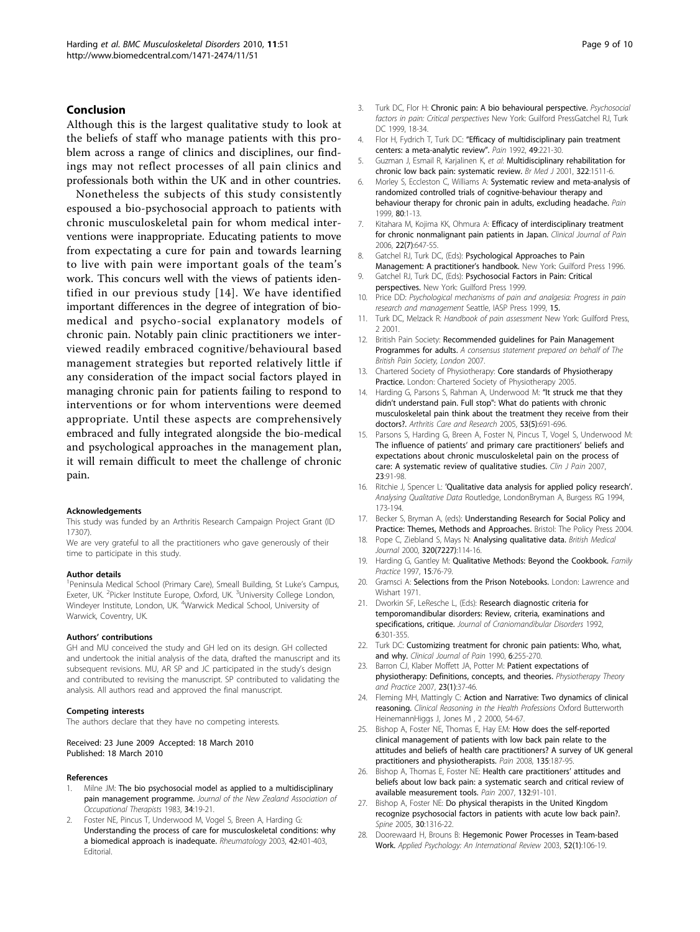#### <span id="page-8-0"></span>Conclusion

Although this is the largest qualitative study to look at the beliefs of staff who manage patients with this problem across a range of clinics and disciplines, our findings may not reflect processes of all pain clinics and professionals both within the UK and in other countries.

Nonetheless the subjects of this study consistently espoused a bio-psychosocial approach to patients with chronic musculoskeletal pain for whom medical interventions were inappropriate. Educating patients to move from expectating a cure for pain and towards learning to live with pain were important goals of the team's work. This concurs well with the views of patients identified in our previous study [14]. We have identified important differences in the degree of integration of biomedical and psycho-social explanatory models of chronic pain. Notably pain clinic practitioners we interviewed readily embraced cognitive/behavioural based management strategies but reported relatively little if any consideration of the impact social factors played in managing chronic pain for patients failing to respond to interventions or for whom interventions were deemed appropriate. Until these aspects are comprehensively embraced and fully integrated alongside the bio-medical and psychological approaches in the management plan, it will remain difficult to meet the challenge of chronic pain.

#### Acknowledgements

This study was funded by an Arthritis Research Campaign Project Grant (ID 17307).

We are very grateful to all the practitioners who gave generously of their time to participate in this study.

#### Author details

<sup>1</sup> Peninsula Medical School (Primary Care), Smeall Building, St Luke's Campus, Exeter, UK. <sup>2</sup>Picker Institute Europe, Oxford, UK. <sup>3</sup>University College London, Windeyer Institute, London, UK. <sup>4</sup>Warwick Medical School, University of Warwick, Coventry, UK.

#### Authors' contributions

GH and MU conceived the study and GH led on its design. GH collected and undertook the initial analysis of the data, drafted the manuscript and its subsequent revisions. MU, AR SP and JC participated in the study's design and contributed to revising the manuscript. SP contributed to validating the analysis. All authors read and approved the final manuscript.

#### Competing interests

The authors declare that they have no competing interests.

Received: 23 June 2009 Accepted: 18 March 2010 Published: 18 March 2010

#### References

- Milne JM: The bio psychosocial model as applied to a multidisciplinary pain management programme. Journal of the New Zealand Association of Occupational Therapists 1983, 34:19-21.
- 2. Foster NE, Pincus T, Underwood M, Vogel S, Breen A, Harding G: [Understanding the process of care for musculoskeletal conditions: why](http://www.ncbi.nlm.nih.gov/pubmed/12626788?dopt=Abstract) [a biomedical approach is inadequate.](http://www.ncbi.nlm.nih.gov/pubmed/12626788?dopt=Abstract) Rheumatology 2003, 42:401-403, Editorial.
- 3. Turk DC, Flor H: Chronic pain: A bio behavioural perspective. *Psychosocial* factors in pain: Critical perspectives New York: Guilford PressGatchel RJ, Turk DC 1999, 18-34.
- 4. Flor H, Fydrich T, Turk DC: "[Efficacy of multidisciplinary pain treatment](http://www.ncbi.nlm.nih.gov/pubmed/1535122?dopt=Abstract) [centers: a meta-analytic review](http://www.ncbi.nlm.nih.gov/pubmed/1535122?dopt=Abstract)". Pain 1992, 49:221-30.
- 5. Guzman J, Esmail R, Karjalinen K, et al: Multidisciplinary rehabilitation for chronic low back pain: systematic review. Br Med J 2001, 322:1511-6.
- 6. Morley S, Eccleston C, Williams A: [Systematic review and meta-analysis of](http://www.ncbi.nlm.nih.gov/pubmed/10204712?dopt=Abstract) [randomized controlled trials of cognitive-behaviour therapy and](http://www.ncbi.nlm.nih.gov/pubmed/10204712?dopt=Abstract) [behaviour therapy for chronic pain in adults, excluding headache.](http://www.ncbi.nlm.nih.gov/pubmed/10204712?dopt=Abstract) Pain 1999, 80:1-13.
- 7. Kitahara M, Kojima KK, Ohmura A: [Efficacy of interdisciplinary treatment](http://www.ncbi.nlm.nih.gov/pubmed/16926581?dopt=Abstract) [for chronic nonmalignant pain patients in Japan.](http://www.ncbi.nlm.nih.gov/pubmed/16926581?dopt=Abstract) Clinical Journal of Pain 2006, 22(7):647-55.
- 8. Gatchel RJ, Turk DC, (Eds): Psychological Approaches to Pain Management: A practitioner's handbook. New York: Guilford Press 1996. 9. Gatchel RJ, Turk DC, (Eds): Psychosocial Factors in Pain: Critical
- perspectives. New York: Guilford Press 1999.
- 10. Price DD: Psychological mechanisms of pain and analgesia: Progress in pain research and management Seattle, IASP Press 1999, 15.
- 11. Turk DC, Melzack R: Handbook of pain assessment New York: Guilford Press, 2 2001.
- 12. British Pain Society: Recommended quidelines for Pain Management Programmes for adults. A consensus statement prepared on behalf of The British Pain Society, London 2007.
- 13. Chartered Society of Physiotherapy: Core standards of Physiotherapy Practice. London: Chartered Society of Physiotherapy 2005.
- 14. Harding G, Parsons S, Rahman A, Underwood M: "[It struck me that they](http://www.ncbi.nlm.nih.gov/pubmed/16208656?dopt=Abstract) didn'[t understand pain. Full stop": What do patients with chronic](http://www.ncbi.nlm.nih.gov/pubmed/16208656?dopt=Abstract) [musculoskeletal pain think about the treatment they receive from their](http://www.ncbi.nlm.nih.gov/pubmed/16208656?dopt=Abstract) [doctors?.](http://www.ncbi.nlm.nih.gov/pubmed/16208656?dopt=Abstract) Arthritis Care and Research 2005, 53(5):691-696.
- 15. Parsons S, Harding G, Breen A, Foster N, Pincus T, Vogel S, Underwood M: The influence of patients' [and primary care practitioners](http://www.ncbi.nlm.nih.gov/pubmed/17277650?dopt=Abstract)' beliefs and [expectations about chronic musculoskeletal pain on the process of](http://www.ncbi.nlm.nih.gov/pubmed/17277650?dopt=Abstract) [care: A systematic review of qualitative studies.](http://www.ncbi.nlm.nih.gov/pubmed/17277650?dopt=Abstract) Clin J Pain 2007, 23:91-98.
- 16. Ritchie J, Spencer L: 'Qualitative data analysis for applied policy research'. Analysing Qualitative Data Routledge, LondonBryman A, Burgess RG 1994, 173-194.
- 17. Becker S, Bryman A, (eds): Understanding Research for Social Policy and Practice: Themes, Methods and Approaches. Bristol: The Policy Press 2004.
- Pope C, Ziebland S, Mays N: [Analysing qualitative data.](http://www.ncbi.nlm.nih.gov/pubmed/10625273?dopt=Abstract) British Medical Journal 2000, 320(7227):114-16.
- 19. Harding G, Gantley M: Qualitative Methods: Beyond the Cookbook. Family Practice 1997, 15:76-79.
- 20. Gramsci A: Selections from the Prison Notebooks. London: Lawrence and Wishart 1971.
- 21. Dworkin SF, LeResche L, (Eds): [Research diagnostic criteria for](http://www.ncbi.nlm.nih.gov/pubmed/1298767?dopt=Abstract) [temporomandibular disorders: Review, criteria, examinations and](http://www.ncbi.nlm.nih.gov/pubmed/1298767?dopt=Abstract) [specifications, critique.](http://www.ncbi.nlm.nih.gov/pubmed/1298767?dopt=Abstract) Journal of Craniomandibular Disorders 1992, 6:301-355.
- 22. Turk DC: [Customizing treatment for chronic pain patients: Who, what,](http://www.ncbi.nlm.nih.gov/pubmed/2135025?dopt=Abstract) [and why.](http://www.ncbi.nlm.nih.gov/pubmed/2135025?dopt=Abstract) Clinical Journal of Pain 1990, 6:255-270.
- 23. Barron CJ, Klaber Moffett JA, Potter M: [Patient expectations of](http://www.ncbi.nlm.nih.gov/pubmed/17454797?dopt=Abstract) [physiotherapy: Definitions, concepts, and theories.](http://www.ncbi.nlm.nih.gov/pubmed/17454797?dopt=Abstract) Physiotherapy Theory and Practice 2007, 23(1):37-46.
- 24. Fleming MH, Mattingly C: Action and Narrative: Two dynamics of clinical reasoning. Clinical Reasoning in the Health Professions Oxford Butterworth HeinemannHiggs J, Jones M , 2 2000, 54-67.
- 25. Bishop A, Foster NE, Thomas E, Hay EM: [How does the self-reported](http://www.ncbi.nlm.nih.gov/pubmed/18206309?dopt=Abstract) [clinical management of patients with low back pain relate to the](http://www.ncbi.nlm.nih.gov/pubmed/18206309?dopt=Abstract) [attitudes and beliefs of health care practitioners? A survey of UK general](http://www.ncbi.nlm.nih.gov/pubmed/18206309?dopt=Abstract) [practitioners and physiotherapists.](http://www.ncbi.nlm.nih.gov/pubmed/18206309?dopt=Abstract) Pain 2008, 135:187-95.
- 26. Bishop A, Thomas E, Foster NE: [Health care practitioners](http://www.ncbi.nlm.nih.gov/pubmed/17346889?dopt=Abstract)' attitudes and [beliefs about low back pain: a systematic search and critical review of](http://www.ncbi.nlm.nih.gov/pubmed/17346889?dopt=Abstract) [available measurement tools.](http://www.ncbi.nlm.nih.gov/pubmed/17346889?dopt=Abstract) Pain 2007, 132:91-101.
- 27. Bishop A, Foster NE: [Do physical therapists in the United Kingdom](http://www.ncbi.nlm.nih.gov/pubmed/15928559?dopt=Abstract) [recognize psychosocial factors in patients with acute low back pain?.](http://www.ncbi.nlm.nih.gov/pubmed/15928559?dopt=Abstract) Spine 2005, 30:1316-22.
- 28. Doorewaard H, Brouns B: Hegemonic Power Processes in Team-based Work. Applied Psychology: An International Review 2003, 52(1):106-19.